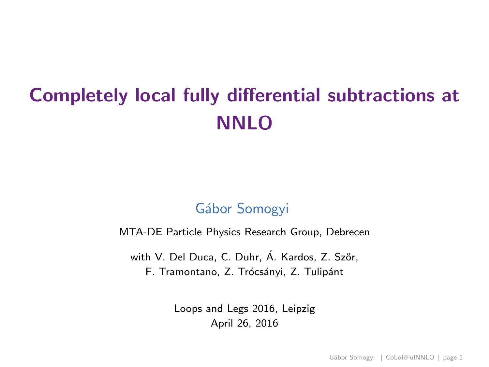# Completely local fully differential subtractions at NNLO

## Gábor Somogyi

MTA-DE Particle Physics Research Group, Debrecen

with V. Del Duca, C. Duhr, Á. Kardos, Z. Szőr, F. Tramontano, Z. Trócsányi, Z. Tulipánt

> <span id="page-0-0"></span>Loops and Legs 2016, Leipzig April 26, 2016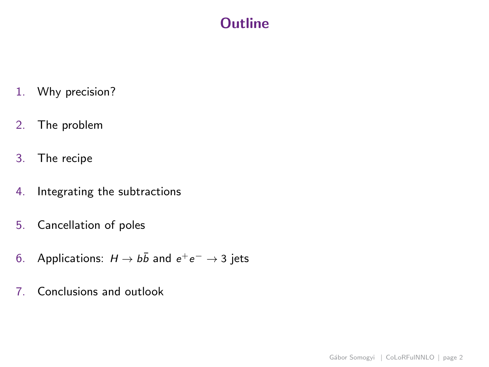## **Outline**

- 1. Why precision?
- 2. The problem
- 3. The recipe
- 4. Integrating the subtractions
- 5. Cancellation of poles
- 6. Applications:  $H \rightarrow b\bar{b}$  and  $e^+e^- \rightarrow 3$  jets
- 7. Conclusions and outlook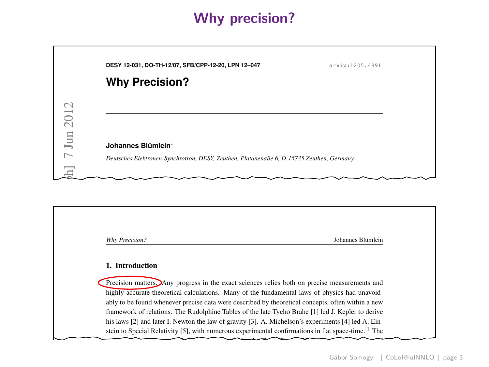## Why precision?

| 7 Jun 2012<br>Johannes Blümlein* | DESY 12-031, DO-TH-12/07, SFB/CPP-12-20, LPN 12-047<br><b>Why Precision?</b> | arxiv:1205.4991 |
|----------------------------------|------------------------------------------------------------------------------|-----------------|
|                                  |                                                                              |                 |
|                                  |                                                                              |                 |

Precision measurements together with exact theoretical calculations have led to steady progress in

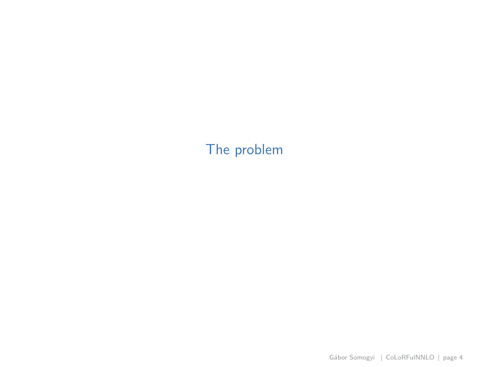## <span id="page-3-0"></span>[The problem](#page-3-0)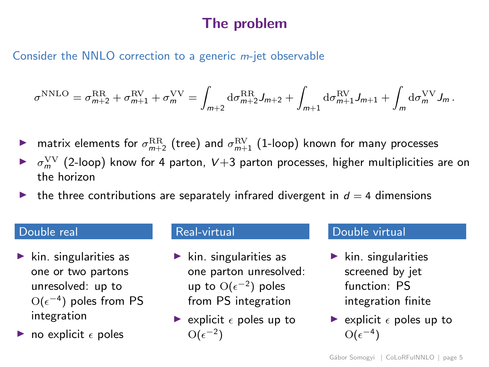## The problem

Consider the NNLO correction to a generic m-jet observable

$$
\sigma^{\rm NNLO} = \sigma^{\rm RR}_{m+2} + \sigma^{\rm RV}_{m+1} + \sigma^{\rm VV}_{m} = \int_{m+2} {\rm d}\sigma^{\rm RR}_{m+2} J_{m+2} + \int_{m+1} {\rm d}\sigma^{\rm RV}_{m+1} J_{m+1} + \int_{m} {\rm d}\sigma^{\rm VV}_{m} J_{m}.
$$

- $\blacktriangleright$  matrix elements for  $\sigma^{\text{RR}}_{m+2}$  (tree) and  $\sigma^{\text{RV}}_{m+1}$  (1-loop) known for many processes
- $\blacktriangleright$   $\sigma_m^{\rm VV}$  (2-loop) know for 4 parton, V+3 parton processes, higher multiplicities are on the horizon
- the three contributions are separately infrared divergent in  $d = 4$  dimensions

### Double real

- kin. singularities as one or two partons unresolved: up to  $O(ε^{-4})$  poles from PS integration
- no explicit  $\epsilon$  poles

#### Real-virtual

- $\blacktriangleright$  kin. singularities as one parton unresolved: up to  $O(\epsilon^{-2})$  poles from PS integration
- riangleright  $\epsilon$  poles up to  $O(\epsilon^{-2})$

### Double virtual

- $\blacktriangleright$  kin. singularities screened by jet function: PS integration finite
- riangleright  $\epsilon$  poles up to  $O(\epsilon^{-4})$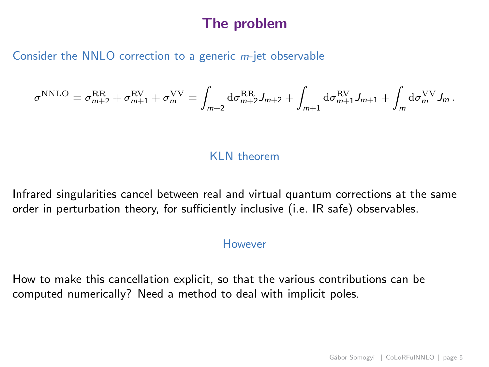## The problem

#### Consider the NNLO correction to a generic m-jet observable

$$
\sigma^{\rm NNLO} = \sigma^{\rm RR}_{m+2} + \sigma^{\rm RV}_{m+1} + \sigma^{\rm VV}_m = \int_{m+2} {\rm d}\sigma^{\rm RR}_{m+2} J_{m+2} + \int_{m+1} {\rm d}\sigma^{\rm RV}_{m+1} J_{m+1} + \int_m {\rm d}\sigma^{\rm VV}_m J_m \,.
$$

### KLN theorem

Infrared singularities cancel between real and virtual quantum corrections at the same order in perturbation theory, for sufficiently inclusive (i.e. IR safe) observables.

#### However

How to make this cancellation explicit, so that the various contributions can be computed numerically? Need a method to deal with implicit poles.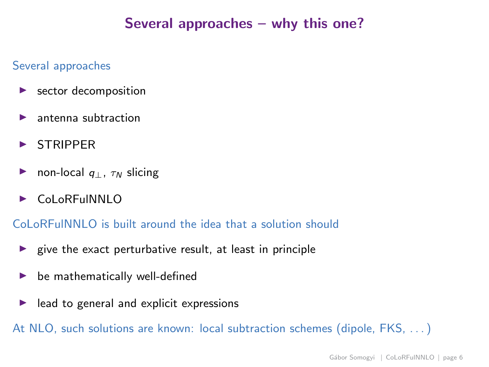## Several approaches – why this one?

#### Several approaches

- $\blacktriangleright$  sector decomposition
- $\blacktriangleright$  antenna subtraction
- **STRIPPER**
- ► non-local  $q_{\perp}$ ,  $\tau_N$  slicing
- ► CoLoREuINNLO

CoLoRFulNNLO is built around the idea that a solution should

- $\triangleright$  give the exact perturbative result, at least in principle
- $\triangleright$  be mathematically well-defined
- $\blacktriangleright$  lead to general and explicit expressions

At NLO, such solutions are known: local subtraction schemes (dipole, FKS, . . . )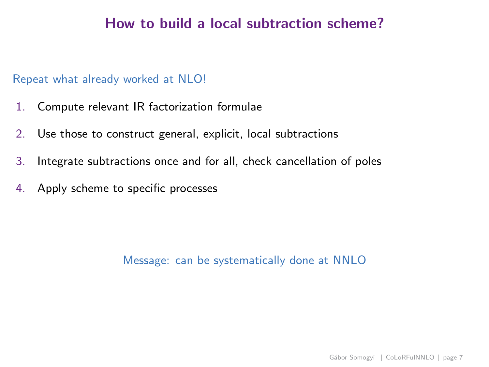## How to build a local subtraction scheme?

### Repeat what already worked at NLO!

- 1. Compute relevant IR factorization formulae
- 2. Use those to construct general, explicit, local subtractions
- 3. Integrate subtractions once and for all, check cancellation of poles
- 4. Apply scheme to specific processes

Message: can be systematically done at NNLO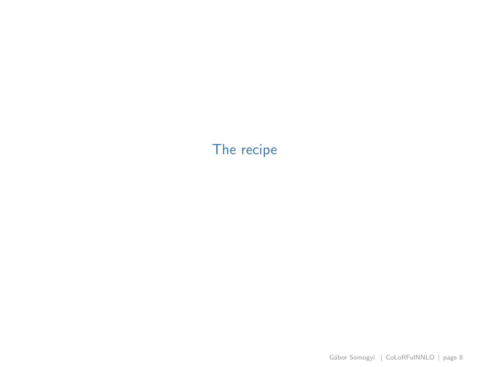## <span id="page-8-0"></span>[The recipe](#page-8-0)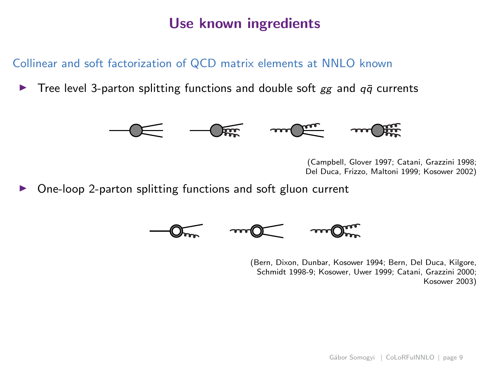## Use known ingredients

### Collinear and soft factorization of QCD matrix elements at NNLO known

Tree level 3-parton splitting functions and double soft  $gg$  and  $q\bar{q}$  currents



(Campbell, Glover 1997; Catani, Grazzini 1998; Del Duca, Frizzo, Maltoni 1999; Kosower 2002)

◮ One-loop 2-parton splitting functions and soft gluon current



(Bern, Dixon, Dunbar, Kosower 1994; Bern, Del Duca, Kilgore, Schmidt 1998-9; Kosower, Uwer 1999; Catani, Grazzini 2000; Kosower 2003)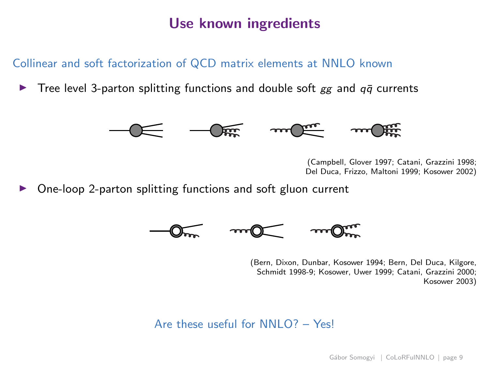## Use known ingredients

### Collinear and soft factorization of QCD matrix elements at NNLO known

Tree level 3-parton splitting functions and double soft  $gg$  and  $q\bar{q}$  currents



(Campbell, Glover 1997; Catani, Grazzini 1998; Del Duca, Frizzo, Maltoni 1999; Kosower 2002)

◮ One-loop 2-parton splitting functions and soft gluon current



(Bern, Dixon, Dunbar, Kosower 1994; Bern, Del Duca, Kilgore, Schmidt 1998-9; Kosower, Uwer 1999; Catani, Grazzini 2000; Kosower 2003)

### Are these useful for NNI  $O$ ? - Yes!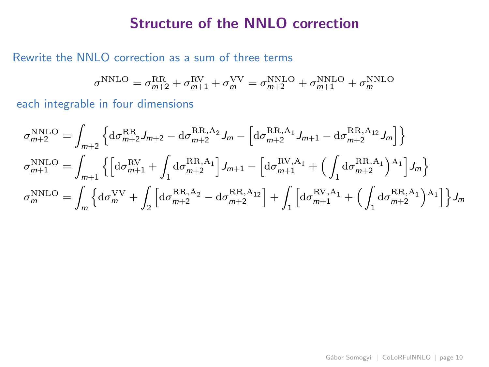### Rewrite the NNLO correction as a sum of three terms

$$
\sigma^{\rm NNLO} = \sigma^{\rm RR}_{m+2} + \sigma^{\rm RV}_{m+1} + \sigma^{\rm VV}_{m} = \sigma^{\rm NNLO}_{m+2} + \sigma^{\rm NNLO}_{m+1} + \sigma^{\rm NNLO}_{m}
$$

$$
\sigma_{m+2}^{\text{NNLO}} = \int_{m+2} \left\{ d\sigma_{m+2}^{\text{RR}} J_{m+2} - d\sigma_{m+2}^{\text{RR},A_2} J_m - \left[ d\sigma_{m+2}^{\text{RR},A_1} J_{m+1} - d\sigma_{m+2}^{\text{RR},A_{12}} J_m \right] \right\}
$$
  
\n
$$
\sigma_{m+1}^{\text{NNLO}} = \int_{m+1} \left\{ \left[ d\sigma_{m+1}^{\text{RV}} + \int_1 d\sigma_{m+2}^{\text{RR},A_1} \right] J_{m+1} - \left[ d\sigma_{m+1}^{\text{RV},A_1} + \left( \int_1 d\sigma_{m+2}^{\text{RR},A_1} \right) J_m \right] J_m \right\}
$$
  
\n
$$
\sigma_m^{\text{NNLO}} = \int_m \left\{ d\sigma_m^{\text{VV}} + \int_2 \left[ d\sigma_{m+2}^{\text{RR},A_2} - d\sigma_{m+2}^{\text{RR},A_{12}} \right] + \int_1 \left[ d\sigma_{m+1}^{\text{RV},A_1} + \left( \int_1 d\sigma_{m+2}^{\text{RR},A_1} \right) A_1 \right] \right\} J_m
$$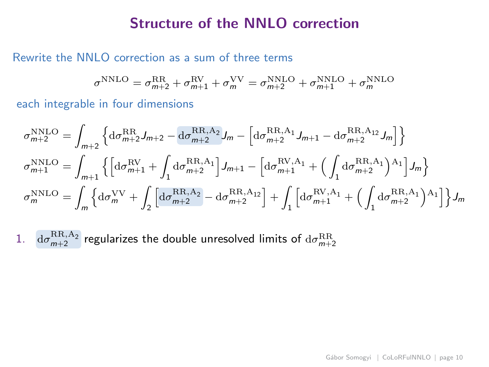### Rewrite the NNLO correction as a sum of three terms

$$
\sigma^{\rm NNLO} = \sigma^{\rm RR}_{m+2} + \sigma^{\rm RV}_{m+1} + \sigma^{\rm VV}_{m} = \sigma^{\rm NNLO}_{m+2} + \sigma^{\rm NNLO}_{m+1} + \sigma^{\rm NNLO}_{m}
$$

each integrable in four dimensions

$$
\begin{split} \sigma^{\rm NNLO}_{m+2} &= \int_{m+2} \left\{ \mathrm{d}\sigma^{\rm RR}_{m+2} J_{m+2} - \mathrm{d}\sigma^{\rm RR,A_2}_{m+2} J_m - \left[ \mathrm{d}\sigma^{\rm RR,A_1}_{m+2} J_{m+1} - \mathrm{d}\sigma^{\rm RR,A_{12}}_{m+2} J_m \right] \right\} \\ \sigma^{\rm NNLO}_{m+1} &= \int_{m+1} \left\{ \left[ \mathrm{d}\sigma^{\rm RV}_{m+1} + \int_1 \mathrm{d}\sigma^{\rm RR,A_1}_{m+2} \right] J_{m+1} - \left[ \mathrm{d}\sigma^{\rm RV,A_1}_{m+1} + \left( \int_1 \mathrm{d}\sigma^{\rm RR,A_1}_{m+2} \right)^{\rm A_1} \right] J_m \right\} \\ \sigma^{\rm NNLO}_{m} &= \int_{m} \left\{ \mathrm{d}\sigma^{\rm VV}_{m} + \int_2 \left[ \mathrm{d}\sigma^{\rm RR,A_2}_{m+2} - \mathrm{d}\sigma^{\rm RR,A_{12}}_{m+2} \right] + \int_1 \left[ \mathrm{d}\sigma^{\rm RV,A_1}_{m+1} + \left( \int_1 \mathrm{d}\sigma^{\rm RR,A_1}_{m+2} \right)^{\rm A_1} \right] \right\} J_m \end{split}
$$

 $1. \quad \mathrm{d}\sigma_{m+2}^{\mathrm{RR},\mathrm{A}_2}$  regularizes the double unresolved limits of  $\mathrm{d}\sigma_{m+2}^{\mathrm{RR}}$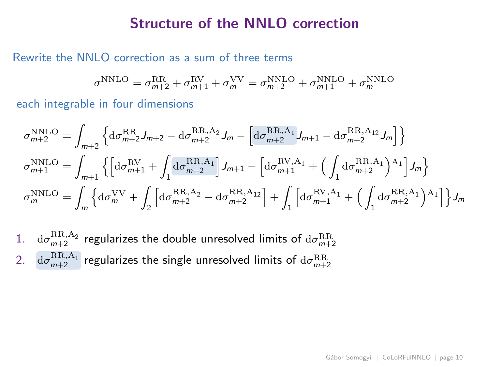#### Rewrite the NNLO correction as a sum of three terms

$$
\sigma^{\rm NNLO} = \sigma^{\rm RR}_{m+2} + \sigma^{\rm RV}_{m+1} + \sigma^{\rm VV}_{m} = \sigma^{\rm NNLO}_{m+2} + \sigma^{\rm NNLO}_{m+1} + \sigma^{\rm NNLO}_{m}
$$

$$
\sigma_{m+2}^{\text{NNLO}} = \int_{m+2} \left\{ d\sigma_{m+2}^{\text{RR}} J_{m+2} - d\sigma_{m+2}^{\text{RR},A_2} J_m - \left[ d\sigma_{m+2}^{\text{RR},A_1} J_{m+1} - d\sigma_{m+2}^{\text{RR},A_{12}} J_m \right] \right\}
$$
  
\n
$$
\sigma_{m+1}^{\text{NNLO}} = \int_{m+1} \left\{ \left[ d\sigma_{m+1}^{\text{RV}} + \int_1 d\sigma_{m+2}^{\text{RR},A_1} \right] J_{m+1} - \left[ d\sigma_{m+1}^{\text{RV},A_1} + \left( \int_1 d\sigma_{m+2}^{\text{RR},A_1} \right) J_m \right] J_m \right\}
$$
  
\n
$$
\sigma_m^{\text{NNLO}} = \int_m \left\{ d\sigma_m^{\text{VV}} + \int_2 \left[ d\sigma_{m+2}^{\text{RR},A_2} - d\sigma_{m+2}^{\text{RR},A_{12}} \right] + \int_1 \left[ d\sigma_{m+1}^{\text{RV},A_1} + \left( \int_1 d\sigma_{m+2}^{\text{RR},A_1} \right) J_m \right] J_m \right\}
$$

- 1. dσ RR,A<sup>2</sup> <sup>m</sup>+2 regularizes the double unresolved limits of <sup>d</sup><sup>σ</sup> RR m+2
- $\alpha \in \mathrm{d} \sigma_{m+2}^{\mathrm{RR,A_1}}$  regularizes the single unresolved limits of  $\mathrm{d} \sigma_{m+2}^{\mathrm{RR}}$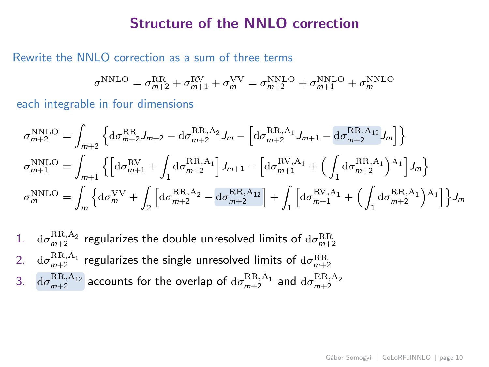#### Rewrite the NNLO correction as a sum of three terms

$$
\sigma^{\rm NNLO} = \sigma^{\rm RR}_{m+2} + \sigma^{\rm RV}_{m+1} + \sigma^{\rm VV}_{m} = \sigma^{\rm NNLO}_{m+2} + \sigma^{\rm NNLO}_{m+1} + \sigma^{\rm NNLO}_{m}
$$

$$
\sigma_{m+2}^{\text{NNLO}} = \int_{m+2} \left\{ d\sigma_{m+2}^{\text{RR}} J_{m+2} - d\sigma_{m+2}^{\text{RR},A_2} J_m - \left[ d\sigma_{m+2}^{\text{RR},A_1} J_{m+1} - d\sigma_{m+2}^{\text{RR},A_{12}} J_m \right] \right\}
$$
  
\n
$$
\sigma_{m+1}^{\text{NNLO}} = \int_{m+1} \left\{ \left[ d\sigma_{m+1}^{\text{RV}} + \int_1 d\sigma_{m+2}^{\text{RR},A_1} \right] J_{m+1} - \left[ d\sigma_{m+1}^{\text{RV},A_1} + \left( \int_1 d\sigma_{m+2}^{\text{RR},A_1} \right) J_m \right] J_m \right\}
$$
  
\n
$$
\sigma_m^{\text{NNLO}} = \int_m \left\{ d\sigma_m^{\text{VV}} + \int_2 \left[ d\sigma_{m+2}^{\text{RR},A_2} - d\sigma_{m+2}^{\text{RR},A_{12}} \right] + \int_1 \left[ d\sigma_{m+1}^{\text{RV},A_1} + \left( \int_1 d\sigma_{m+2}^{\text{RR},A_1} \right) J_m \right] J_m \right\}
$$

- 1. dσ RR,A<sup>2</sup> <sup>m</sup>+2 regularizes the double unresolved limits of <sup>d</sup><sup>σ</sup> RR m+2
- $\alpha \in \mathbb{R}^{\text{RR},\text{A}_1}_{m+2}$  regularizes the single unresolved limits of  $\mathrm{d}\sigma^{\text{RR}}_{m+2}$
- 3.  $\int d\sigma_{m+2}^{\rm RR,A_{12}}$  accounts for the overlap of  $d\sigma_{m+2}^{\rm RR,A_{1}}$  and  $d\sigma_{m+2}^{\rm RR,A_{2}}$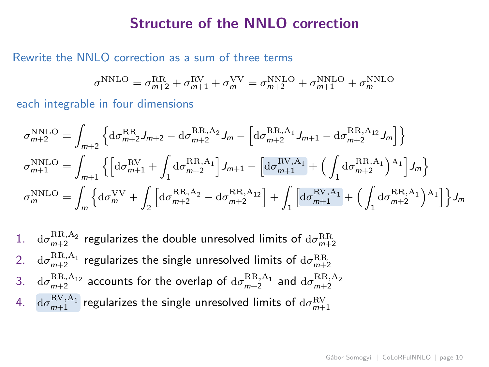### Rewrite the NNLO correction as a sum of three terms

$$
\sigma^{\rm NNLO} = \sigma^{\rm RR}_{m+2} + \sigma^{\rm RV}_{m+1} + \sigma^{\rm VV}_{m} = \sigma^{\rm NNLO}_{m+2} + \sigma^{\rm NNLO}_{m+1} + \sigma^{\rm NNLO}_{m}
$$

$$
\begin{split} \sigma^{\rm NNLO}_{m+2} &= \int_{m+2} \left\{ \mathrm{d}\sigma^{\rm RR}_{m+2} J_{m+2} - \mathrm{d}\sigma^{\rm RR,A_2}_{m+2} J_m - \left[ \mathrm{d}\sigma^{\rm RR,A_1}_{m+2} J_{m+1} - \mathrm{d}\sigma^{\rm RR,A_{12}}_{m+2} J_m \right] \right\} \\ \sigma^{\rm NNLO}_{m+1} &= \int_{m+1} \left\{ \left[ \mathrm{d}\sigma^{\rm RV}_{m+1} + \int_1 \mathrm{d}\sigma^{\rm RR,A_1}_{m+2} \right] J_{m+1} - \left[ \mathrm{d}\sigma^{\rm RV,A_1}_{m+1} + \left( \int_1 \mathrm{d}\sigma^{\rm RR,A_1}_{m+2} \right)^{\rm A_1} \right] J_m \right\} \\ \sigma^{\rm NNLO}_{m} &= \int_{m} \left\{ \mathrm{d}\sigma^{\rm VV}_{m} + \int_2 \left[ \mathrm{d}\sigma^{\rm RR,A_2}_{m+2} - \mathrm{d}\sigma^{\rm RR,A_{12}}_{m+2} \right] + \int_1 \left[ \mathrm{d}\sigma^{\rm RV,A_1}_{m+1} + \left( \int_1 \mathrm{d}\sigma^{\rm RR,A_1}_{m+2} \right)^{\rm A_1} \right] \right\} J_m \end{split}
$$

\n- 1. 
$$
d\sigma_{m+2}^{RR, A_2}
$$
 regularizes the double unresolved limits of  $d\sigma_{m+2}^{RR}$
\n- 2.  $d\sigma_{m+2}^{RR, A_1}$  regularizes the single unresolved limits of  $d\sigma_{m+2}^{RR}$
\n- 3.  $d\sigma_{m+2}^{RR, A_{12}}$  accounts for the overlap of  $d\sigma_{m+2}^{RR, A_1}$  and  $d\sigma_{m+2}^{RR, A_2}$
\n- 4.  $d\sigma_{m+1}^{RN, A_1}$  regularizes the single unresolved limits of  $d\sigma_{m+1}^{RN}$
\n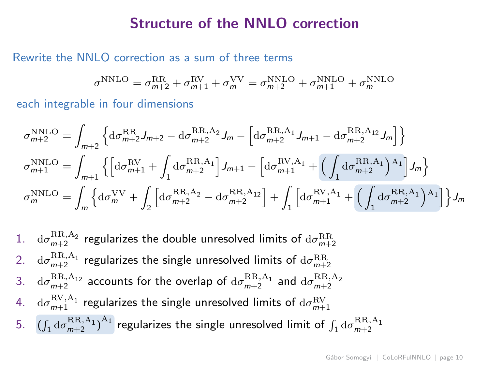#### Rewrite the NNLO correction as a sum of three terms

$$
\sigma^{\rm NNLO} = \sigma^{\rm RR}_{m+2} + \sigma^{\rm RV}_{m+1} + \sigma^{\rm VV}_{m} = \sigma^{\rm NNLO}_{m+2} + \sigma^{\rm NNLO}_{m+1} + \sigma^{\rm NNLO}_{m}
$$

$$
\begin{split} \sigma^{\rm NNLO}_{m+2} &= \int_{m+2} \left\{ \mathrm{d}\sigma^{\rm RR}_{m+2} J_{m+2} - \mathrm{d}\sigma^{\rm RR,A_2}_{m+2} J_m - \left[ \mathrm{d}\sigma^{\rm RR,A_1}_{m+2} J_{m+1} - \mathrm{d}\sigma^{\rm RR,A_{12}}_{m+2} J_m \right] \right\} \\ \sigma^{\rm NNLO}_{m+1} &= \int_{m+1} \left\{ \left[ \mathrm{d}\sigma^{\rm RV}_{m+1} + \int_1 \mathrm{d}\sigma^{\rm RR,A_1}_{m+2} \right] J_{m+1} - \left[ \mathrm{d}\sigma^{\rm RV,A_1}_{m+1} + \left( \int_1 \mathrm{d}\sigma^{\rm RR,A_1}_{m+2} \right)^\mathrm{A_1} \right] J_m \right\} \\ \sigma^{\rm NNLO}_{m} &= \int_{m} \left\{ \mathrm{d}\sigma^{\rm VV}_{m} + \int_2 \left[ \mathrm{d}\sigma^{\rm RR,A_2}_{m+2} - \mathrm{d}\sigma^{\rm RR,A_{12}}_{m+2} \right] + \int_1 \left[ \mathrm{d}\sigma^{\rm RV,A_1}_{m+1} + \left( \int_1 \mathrm{d}\sigma^{\rm RR,A_1}_{m+2} \right)^\mathrm{A_1} \right] \right\} J_m \end{split}
$$

- 1. dσ RR,A<sup>2</sup> <sup>m</sup>+2 regularizes the double unresolved limits of <sup>d</sup><sup>σ</sup> RR m+2
- $\alpha \in \mathbb{R}^{\text{RR},\text{A}_1}_{m+2}$  regularizes the single unresolved limits of  $\mathrm{d}\sigma^{\text{RR}}_{m+2}$
- 3.  $d\sigma^{\rm RR,A_{12}}_{m+2}$  accounts for the overlap of  $d\sigma^{\rm RR,A_{1}}_{m+2}$  and  $d\sigma^{\rm RR,A_{2}}_{m+2}$
- 4.  $\,\mathrm{d}\sigma^{\mathrm{RV},\mathrm{A_1}}_{m+1}\,$  regularizes the single unresolved limits of  $\,\mathrm{d}\sigma^{\mathrm{RV}}_{m+1}\,$
- 5.  $\left(\int_1 d\sigma_{m+2}^{\text{RR},\text{A}_1}\right)^{\text{A}_1}$  regularizes the single unresolved limit of  $\int_1 d\sigma_{m+2}^{\text{RR},\text{A}_1}$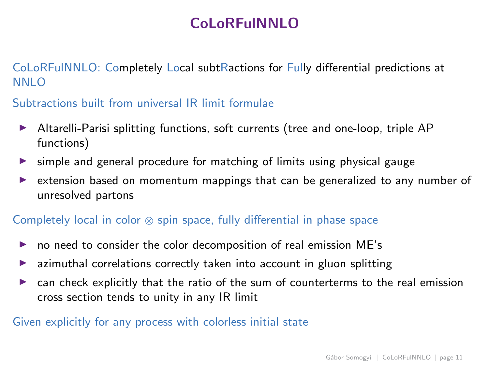## CoLoRFulNNLO

CoLoRFulNNLO: Completely Local subtRactions for Fully differential predictions at NNLO

Subtractions built from universal IR limit formulae

- ▶ Altarelli-Parisi splitting functions, soft currents (tree and one-loop, triple AP functions)
- ▶ simple and general procedure for matching of limits using physical gauge
- ► extension based on momentum mappings that can be generalized to any number of unresolved partons

### Completely local in color ⊗ spin space, fully differential in phase space

- $\triangleright$  no need to consider the color decomposition of real emission ME's
- azimuthal correlations correctly taken into account in gluon splitting
- ◮ can check explicitly that the ratio of the sum of counterterms to the real emission cross section tends to unity in any IR limit

### Given explicitly for any process with colorless initial state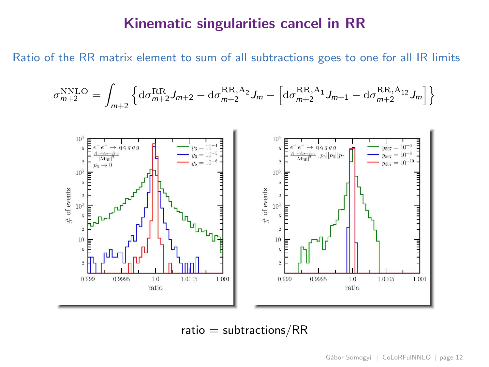## Kinematic singularities cancel in RR

Ratio of the RR matrix element to sum of all subtractions goes to one for all IR limits

$$
\sigma_{m+2}^{\text{NNLO}} = \int_{m+2} \left\{ d\sigma_{m+2}^{\text{RR}} J_{m+2} - d\sigma_{m+2}^{\text{RR},\text{A}_2} J_m - \left[ d\sigma_{m+2}^{\text{RR},\text{A}_1} J_{m+1} - d\sigma_{m+2}^{\text{RR},\text{A}_{12}} J_m \right] \right\}
$$



 $ratio = subtractions / RR$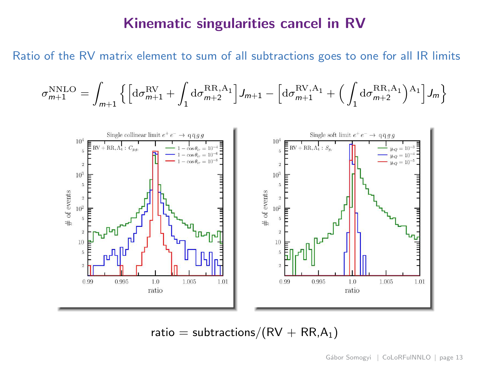### Kinematic singularities cancel in RV

Ratio of the RV matrix element to sum of all subtractions goes to one for all IR limits

σ

NNLO <sup>m</sup>+1 = Z m+1 nhdσ RV <sup>m</sup>+1 + Z 1 dσ RR,A<sup>1</sup> <sup>m</sup>+2 <sup>i</sup> Jm+1 − h dσ RV,A<sup>1</sup> <sup>m</sup>+1 + Z 1 dσ RR,A<sup>1</sup> <sup>m</sup>+2 A1 i Jm o



ratio = subtractions/ $(RV + RR, A_1)$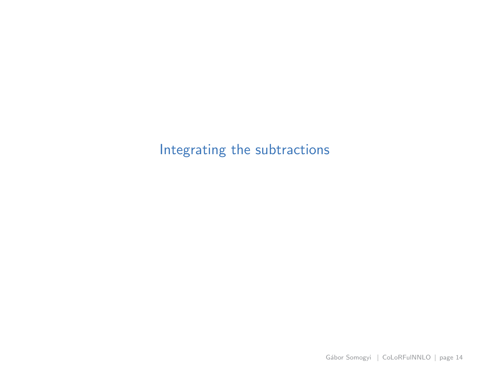<span id="page-20-0"></span>[Integrating the subtractions](#page-20-0)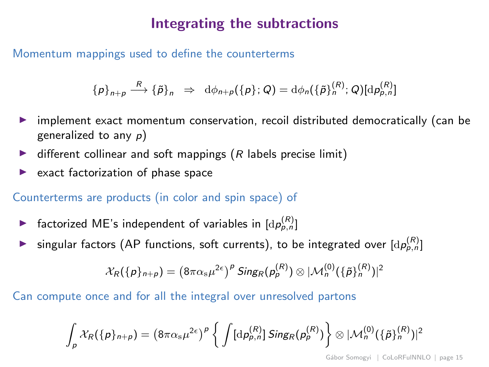## Integrating the subtractions

Momentum mappings used to define the counterterms

$$
\{p\}_{n+p} \stackrel{R}{\longrightarrow} \{\tilde{p}\}_n \Rightarrow \mathrm{d}\phi_{n+p}(\{p\};Q) = \mathrm{d}\phi_n(\{\tilde{p}\}_n^{(R)};Q)[\mathrm{d}p_{p,n}^{(R)}]
$$

- implement exact momentum conservation, recoil distributed democratically (can be generalized to any  $p$ )
- $\triangleright$  different collinear and soft mappings (R labels precise limit)
- exact factorization of phase space

Counterterms are products (in color and spin space) of

- **•** factorized ME's independent of variables in  $[d p_{p,n}^{(R)}]$
- ingular factors (AP functions, soft currents), to be integrated over  $[d \rho_{p,n}]$

$$
\mathcal{X}_{R}(\{p\}_{n+p})=(8\pi\alpha_{\mathrm{s}}\mu^{2\epsilon})^P\,\mathsf{Sing}_{R}(p_{p}^{(R)})\otimes |\mathcal{M}_{n}^{(0)}(\{\tilde{p}\}_{n}^{(R)})|^2
$$

Can compute once and for all the integral over unresolved partons

$$
\int_{\rho} \mathcal{X}_{R}(\{\rho\}_{n+\rho}) = \left(8\pi\alpha_{\rm s}\mu^{2\epsilon}\right)^{\rho} \left\{\int [\mathrm{d}\rho_{p,n}^{(R)}]\, \mathsf{Sing}_{R}(\rho_{\rho}^{(R)})\right\} \otimes |\mathcal{M}_{n}^{(0)}(\{\tilde{\rho}\}_{n}^{(R)})|^{2}
$$

Gábor Somogyi | [CoLoRFulNNLO](#page-0-0) | page 15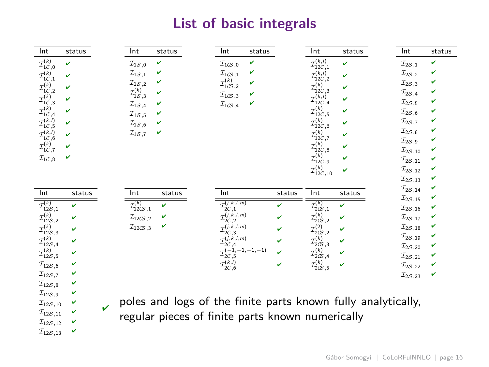## List of basic integrals

| Int                                                          | Int                                       | Int                                                | Int                                       | Int                                  |
|--------------------------------------------------------------|-------------------------------------------|----------------------------------------------------|-------------------------------------------|--------------------------------------|
| status                                                       | status                                    | status                                             | status                                    | status                               |
| $\mathcal{I}_{1\mathcal{C},0}^{(k)}$                         | v                                         | v                                                  | $\mathcal{I}_{12C,1}^{(k,l)}$             | $\mathcal{I}_{2\mathcal{S},1}$       |
| $\mathbf{v}$                                                 | $\mathcal{I}_{1\mathcal{S}\, ,0}$         | $\mathcal{I}_{1CS\,,0}$                            | $\mathbf{v}$                              | v                                    |
| $\mathcal{I}_{1\mathcal{C},1}^{(k)}$                         | $\mathcal{I}_{1S,1}$                      | $\mathcal{I}_{1CS,1}$                              | $\mathcal{I}_{12C,2}^{(k,l)}$             | v                                    |
| v                                                            | v                                         | v                                                  | v                                         | $\mathcal{I}_{2S,2}$                 |
| $\mathcal{I}_{1C,2}^{(k)}$                                   | $\mathcal{I}_{1S,2}$                      | $\mathcal{I}_{1CS,2}^{(k)}$                        | $\mathcal{I}_{12C,3}^{(k)}$               | $\mathcal{I}_{2S,3}$                 |
| v                                                            | v                                         | ν                                                  | v                                         | v                                    |
|                                                              | $\mathcal{I}_{1\mathcal{S},3}^{(k)}$<br>v | $\mathcal{I}_{1CS\,,3}$<br>v                       |                                           | $\mathcal{I}_{2\mathcal{S},4}$<br>v  |
| $\mathcal{I}_{1\mathcal{C},3}^{(k)}$                         | $\mathcal{I}_{1\mathcal{S}\, ,4}$         | $\mathcal{I}_{1CS\,,4}$                            | $\mathcal{I}_{12C,4}^{(k,l)}$             | $\mathcal{I}_{2S,5}$                 |
| v                                                            | v                                         | v                                                  | v                                         | v                                    |
| $\mathcal{I}_{1\mathcal{C},4}^{(k)}$                         | $\mathcal{I}_{1\mathcal{S}\, ,5}$         |                                                    | $\mathcal{I}_{12C,5}^{(k)}$               | $\mathcal{I}_{2\mathcal{S}\, ,6}$    |
| v                                                            | v                                         |                                                    | v                                         | v                                    |
| $\mathcal{I}_{1C,5}^{(k,l)}$<br>$\mathcal{I}_{1C,6}^{(k,l)}$ | $\mathcal{I}_{1\mathcal{S}\, ,6}$         |                                                    | $\mathcal{I}_{12C,6}^{(k)}$               | $\mathcal{I}_{2S,7}$                 |
| v                                                            | v                                         |                                                    | v                                         | v                                    |
| v                                                            | $\mathcal{I}_{1\mathcal{S},7}$<br>v       |                                                    | $\mathcal{I}_{12C,7}^{(k)}$<br>v          | v<br>$\mathcal{I}_{2\mathcal{S},8}$  |
| $\mathcal{I}_{1C,7}^{(k)}$<br>v                              |                                           |                                                    | $\mathcal{I}_{12C, 8}^{(k)}$<br>v         | $\mathcal{I}_{2\mathcal{S},9}$<br>v  |
|                                                              |                                           |                                                    |                                           | $\mathcal{I}_{2\mathcal{S},10}$<br>v |
| $\mathcal{I}_{1\mathcal{C},8}$<br>v                          |                                           |                                                    | $\mathcal{I}_{12C \, , \, 9}^{(k)}$<br>v  | $\mathcal{I}_{2S,11}$<br>v           |
|                                                              |                                           |                                                    | $\mathcal{I}_{12C \, , \, 10}^{(k)}$<br>v | $\mathcal{I}_{2\mathcal{S},12}$<br>v |
|                                                              |                                           |                                                    |                                           | $\mathcal{I}_{2S,13}$<br>v           |
| Int                                                          | Int                                       | Int                                                | Int                                       | $\mathcal{I}_{2S,14}$                |
| status                                                       | status                                    | status                                             | status                                    | v                                    |
| $\mathcal{I}_{12S,1}^{(k)}$                                  | $\mathcal{I}_{12(3,1)}^{(k)}$             | $\mathcal{I}_{2\mathcal{C},1}^{(j,k,l,m)}$         | $\mathcal{I}_{2\text{CS } ,1}^{(k)}$      | v                                    |
| v                                                            | $\mathbf{v}$                              | v                                                  | $\mathbf{v}$                              | $\mathcal{I}_{2S,15}$                |
|                                                              |                                           |                                                    |                                           | $\mathcal{I}_{2S,16}$<br>v           |
| $\mathcal{I}_{12\mathcal{S},2}^{(k)}$                        | v                                         | $\mathcal{I}_{2\mathcal{C},2}^{(j,k,l,m)}$         | $\mathcal{I}^{(k)}_{2\times,2}$           | $\mathcal{I}_{2S,17}$                |
| v                                                            | $\mathcal{I}_{12\times,2}$                | v                                                  | v                                         | v                                    |
| $\mathcal{I}_{12\mathcal{S},3}^{(k)}$                        | v                                         | $\mathcal{I}_{2C,3}^{(j,k,l,m)}$                   | $\mathcal{I}_{2\times 2}^{(2)}$           | $\mathcal{I}_{2S,18}$                |
| v                                                            | $\mathcal{I}_{12\times,3}$                | v                                                  | v                                         | v                                    |
| $\mathcal{I}_{12\mathcal{S},4}^{(k)}$                        |                                           | $\mathcal{I}_{2\mathcal{C},4}^{(j,k,l,m)}$         | $\mathcal{I}_{2\times,3}^{(k)}$           | $\mathcal{I}_{2S,19}$                |
| v                                                            |                                           | v                                                  | v                                         | v                                    |
| $\mathcal{I}_{12\mathcal{S},5}^{(k)}$                        |                                           | $\mathcal{I}_{2\mathcal{C}, 5}^{(-1, -1, -1, -1)}$ | $\mathcal{I}_{2\times,4}^{(k)}$           | $\mathcal{I}_{2\mathcal{S},20}$      |
| v                                                            |                                           | v                                                  | v                                         | v                                    |
| v                                                            |                                           |                                                    |                                           | $\mathcal{I}_{2\mathcal{S},21}$<br>v |
| $\mathcal{I}_{12\mathcal{S},6}$                              |                                           | $\mathcal{I}_{2\mathcal{C},6}^{(k,l)}$             | $\mathcal{I}^{(k)}_{\text{2CS 5}}$        | $\mathcal{I}_{2\mathcal{S},22}$      |
| v                                                            |                                           | v                                                  | v                                         | v                                    |
| $\mathcal{I}_{12S,7}$<br>v                                   |                                           |                                                    |                                           | $\mathcal{I}_{2\mathcal{S},23}$<br>v |
| $\mathcal{I}_{12S,8}$<br>v<br>$\mathcal{I}_{12S}$ o          |                                           |                                                    |                                           |                                      |

 $_{\mathsf{v}}$  poles and logs of the finite parts known fully analytically, regular pieces of finite parts known numerically

 $\mathcal{I}_{12S,10}$   $\blacktriangleright$  $\mathcal{I}_{12S,11}$   $\checkmark$  $\mathcal{I}_{12S,12}$   $\blacktriangleright$  $\mathcal{I}_{12S,13}$   $\blacktriangleright$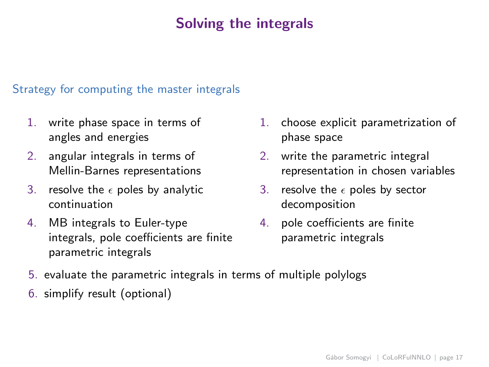## Solving the integrals

### Strategy for computing the master integrals

- 1. write phase space in terms of angles and energies
- 2. angular integrals in terms of Mellin-Barnes representations
- 3. resolve the  $\epsilon$  poles by analytic continuation
- 4. MB integrals to Euler-type integrals, pole coefficients are finite parametric integrals
- 1. choose explicit parametrization of phase space
- 2. write the parametric integral representation in chosen variables
- 3. resolve the  $\epsilon$  poles by sector decomposition
- 4. pole coefficients are finite parametric integrals
- 5. evaluate the parametric integrals in terms of multiple polylogs
- 6. simplify result (optional)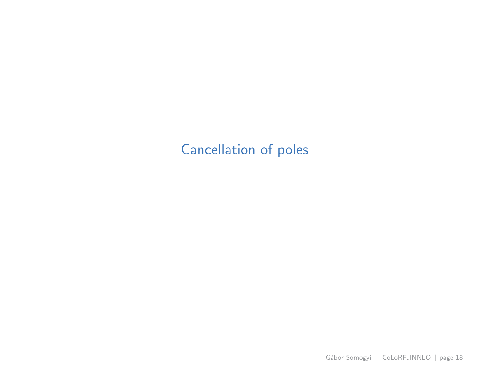## <span id="page-24-0"></span>[Cancellation of poles](#page-24-0)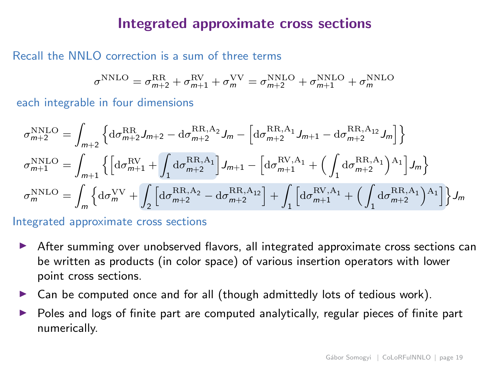### Integrated approximate cross sections

### Recall the NNLO correction is a sum of three terms

$$
\sigma^{\rm NNLO} = \sigma^{\rm RR}_{m+2} + \sigma^{\rm RV}_{m+1} + \sigma^{\rm VV}_m = \sigma^{\rm NNLO}_{m+2} + \sigma^{\rm NNLO}_{m+1} + \sigma^{\rm NNLO}_m
$$

each integrable in four dimensions

$$
\begin{split} \sigma^{\rm NNLO}_{m+2} &= \int_{m+2} \left\{ \mathrm{d}\sigma^{\rm RR}_{m+2} J_{m+2} - \mathrm{d}\sigma^{\rm RR,A_2}_{m+2} J_m - \left[ \mathrm{d}\sigma^{\rm RR,A_1}_{m+2} J_{m+1} - \mathrm{d}\sigma^{\rm RR,A_{12}}_{m+2} J_m \right] \right\} \\ \sigma^{\rm NNLO}_{m+1} &= \int_{m+1} \left\{ \left[ \mathrm{d}\sigma^{\rm RV}_{m+1} + \int_1 \mathrm{d}\sigma^{\rm RR,A_1}_{m+2} \right] J_{m+1} - \left[ \mathrm{d}\sigma^{\rm RV,A_1}_{m+1} + \left( \int_1 \mathrm{d}\sigma^{\rm RR,A_1}_{m+2} \right)^{\rm A_1} \right] J_m \right\} \\ \sigma^{\rm NNLO}_{m} &= \int_{m} \left\{ \mathrm{d}\sigma^{\rm VV}_{m} + \int_2 \left[ \mathrm{d}\sigma^{\rm RR,A_2}_{m+2} - \mathrm{d}\sigma^{\rm RR,A_{12}}_{m+2} \right] + \int_1 \left[ \mathrm{d}\sigma^{\rm RV,A_1}_{m+1} + \left( \int_1 \mathrm{d}\sigma^{\rm RR,A_1}_{m+2} \right)^{\rm A_1} \right] \right\} J_m \end{split}
$$

Integrated approximate cross sections

- ▶ After summing over unobserved flavors, all integrated approximate cross sections can be written as products (in color space) of various insertion operators with lower point cross sections.
- $\triangleright$  Can be computed once and for all (though admittedly lots of tedious work).
- Poles and logs of finite part are computed analytically, regular pieces of finite part numerically.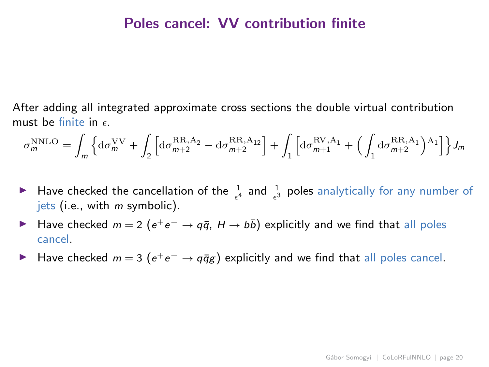### Poles cancel: VV contribution finite

After adding all integrated approximate cross sections the double virtual contribution must be finite in  $\epsilon$ .

$$
\sigma_m^{\rm NNLO} = \int_m \Big\{ {\rm d}\sigma_m^{\rm VV} + \int_2 \Big[ {\rm d}\sigma_{m+2}^{\rm RR,A_2} - {\rm d}\sigma_{m+2}^{\rm RR,A_{12}} \Big] + \int_1 \Big[ {\rm d}\sigma_{m+1}^{\rm RV,A_1} + \Big( \int_1 {\rm d}\sigma_{m+2}^{\rm RR,A_1} \Big)^{\rm A_1} \Big] \Big\} J_m
$$

- A Have checked the cancellation of the  $\frac{1}{\epsilon^4}$  and  $\frac{1}{\epsilon^3}$  poles analytically for any number of jets (i.e., with  $m$  symbolic).
- ► Have checked  $m = 2$  ( $e^+e^- \rightarrow q\bar{q}$ ,  $H \rightarrow b\bar{b}$ ) explicitly and we find that all poles cancel.
- ► Have checked  $m = 3$  ( $e^+e^- \rightarrow q\bar{q}g$ ) explicitly and we find that all poles cancel.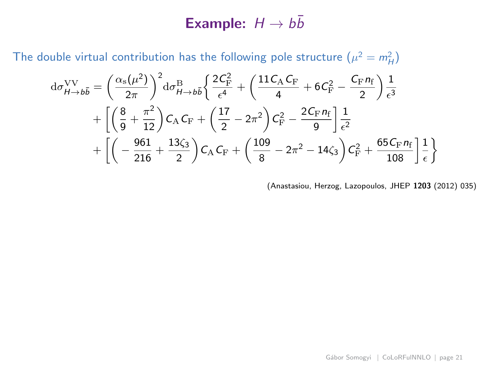## Example:  $H \rightarrow b\bar{b}$

The double virtual contribution has the following pole structure  $(\mu^2 = m_H^2)$ 

$$
d\sigma_{H\to b\bar{b}}^{\rm VV} = \left(\frac{\alpha_{\rm s}(\mu^2)}{2\pi}\right)^2 d\sigma_{H\to b\bar{b}}^{\rm B} \left\{ \frac{2\mathcal{C}_{\rm F}^2}{\epsilon^4} + \left(\frac{11\mathcal{C}_{\rm A}\mathcal{C}_{\rm F}}{4} + 6\mathcal{C}_{\rm F}^2 - \frac{\mathcal{C}_{\rm F}n_{\rm f}}{2}\right) \frac{1}{\epsilon^3} \right. \\
\left. + \left[ \left(\frac{8}{9} + \frac{\pi^2}{12}\right) \mathcal{C}_{\rm A} \mathcal{C}_{\rm F} + \left(\frac{17}{2} - 2\pi^2\right) \mathcal{C}_{\rm F}^2 - \frac{2\mathcal{C}_{\rm F}n_{\rm f}}{9} \right] \frac{1}{\epsilon^2} \right. \\
\left. + \left[ \left(-\frac{961}{216} + \frac{13\zeta_3}{2}\right) \mathcal{C}_{\rm A} \mathcal{C}_{\rm F} + \left(\frac{109}{8} - 2\pi^2 - 14\zeta_3\right) \mathcal{C}_{\rm F}^2 + \frac{65\mathcal{C}_{\rm F}n_{\rm f}}{108} \right] \frac{1}{\epsilon} \right\}
$$

(Anastasiou, Herzog, Lazopoulos, JHEP 1203 (2012) 035)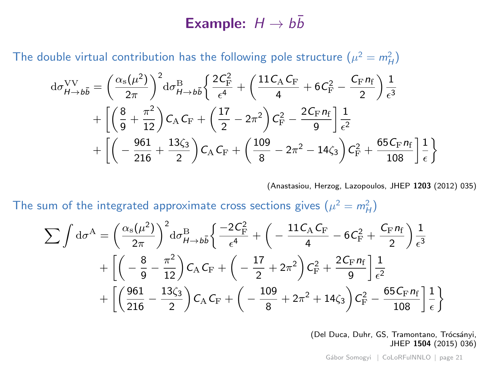## Example:  $H \rightarrow b\bar{b}$

The double virtual contribution has the following pole structure  $(\mu^2 = m_H^2)$ 

$$
d\sigma_{H\to b\bar{b}}^{\rm VV} = \left(\frac{\alpha_{\rm s}(\mu^2)}{2\pi}\right)^2 d\sigma_{H\to b\bar{b}}^{\rm B} \left\{ \frac{2C_{\rm F}^2}{\epsilon^4} + \left(\frac{11C_{\rm A}C_{\rm F}}{4} + 6C_{\rm F}^2 - \frac{C_{\rm F}n_{\rm f}}{2}\right) \frac{1}{\epsilon^3} \right. \\
\left. + \left[\left(\frac{8}{9} + \frac{\pi^2}{12}\right)C_{\rm A}C_{\rm F} + \left(\frac{17}{2} - 2\pi^2\right)C_{\rm F}^2 - \frac{2C_{\rm F}n_{\rm f}}{9}\right] \frac{1}{\epsilon^2} \right. \\
\left. + \left[\left(-\frac{961}{216} + \frac{13\zeta_3}{2}\right)C_{\rm A}C_{\rm F} + \left(\frac{109}{8} - 2\pi^2 - 14\zeta_3\right)C_{\rm F}^2 + \frac{65C_{\rm F}n_{\rm f}}{108}\right] \frac{1}{\epsilon}\right\}
$$

(Anastasiou, Herzog, Lazopoulos, JHEP 1203 (2012) 035)

The sum of the integrated approximate cross sections gives  $(\mu^2 = m_H^2)$ 

$$
\begin{split} \sum \int \mathrm{d}\sigma^{\mathrm{A}} & = \left(\frac{\alpha_{\mathrm{s}}(\mu^2)}{2\pi}\right)^2 \mathrm{d}\sigma^{\mathrm{B}}_{H\to b\bar{b}} \bigg\{ \frac{-2\mathcal{C}_{\mathrm{F}}^2}{\epsilon^4} + \left(-\frac{11\mathcal{C}_{\mathrm{A}}\mathcal{C}_{\mathrm{F}}}{4} - 6\mathcal{C}_{\mathrm{F}}^2 + \frac{\mathcal{C}_{\mathrm{F}}n_{\mathrm{f}}}{2}\right) \frac{1}{\epsilon^3} \\ & + \left[\left(-\frac{8}{9} - \frac{\pi^2}{12}\right)\mathcal{C}_{\mathrm{A}}\mathcal{C}_{\mathrm{F}} + \left(-\frac{17}{2} + 2\pi^2\right)\mathcal{C}_{\mathrm{F}}^2 + \frac{2\mathcal{C}_{\mathrm{F}}n_{\mathrm{f}}}{9}\right] \frac{1}{\epsilon^2} \\ & + \left[\left(\frac{961}{216} - \frac{13\zeta_3}{2}\right)\mathcal{C}_{\mathrm{A}}\mathcal{C}_{\mathrm{F}} + \left(-\frac{109}{8} + 2\pi^2 + 14\zeta_3\right)\mathcal{C}_{\mathrm{F}}^2 - \frac{65\mathcal{C}_{\mathrm{F}}n_{\mathrm{f}}}{108}\right] \frac{1}{\epsilon}\right\} \end{split}
$$

(Del Duca, Duhr, GS, Tramontano, Trócsányi, JHEP 1504 (2015) 036)

Gábor Somogyi | [CoLoRFulNNLO](#page-0-0) | page 21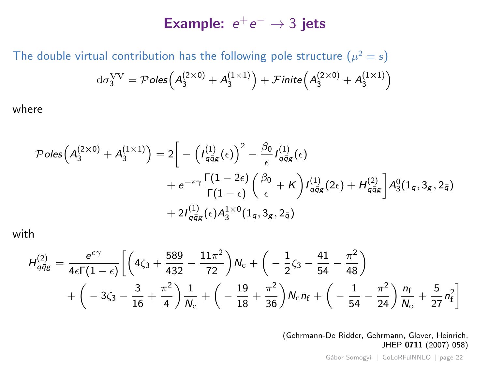## Example:  $e^+e^- \rightarrow 3$  jets

The double virtual contribution has the following pole structure  $(\mu^2=s)$  $\mathrm{d}\sigma_3^\mathrm{VV}=\mathcal P$ oles $\left(A_3^{(2\times0)}+A_3^{(1\times1)}\right)+\mathcal F$ inite $\left(A_3^{(2\times0)}+A_3^{(1\times1)}\right)$ 

where

$$
\mathcal{P}oles\left(A_3^{(2\times0)}+A_3^{(1\times1)}\right)=2\bigg[-\left(I_{q\bar{q}_g}^{(1)}(\epsilon)\right)^2-\frac{\beta_0}{\epsilon}I_{q\bar{q}_g}^{(1)}(\epsilon)\n+e^{-\epsilon\gamma}\frac{\Gamma(1-2\epsilon)}{\Gamma(1-\epsilon)}\left(\frac{\beta_0}{\epsilon}+K\right)I_{q\bar{q}_g}^{(1)}(2\epsilon)+H_{q\bar{q}_g}^{(2)}\bigg]A_3^0(1_q,3_g,2_{\bar{q}})\n+2I_{q\bar{q}_g}^{(1)}(\epsilon)A_3^{1\times0}(1_q,3_g,2_{\bar{q}})
$$

with

$$
H_{q\bar{q}g}^{(2)} = \frac{e^{\epsilon\gamma}}{4\epsilon\Gamma(1-\epsilon)} \bigg[ \left( 4\zeta_3 + \frac{589}{432} - \frac{11\pi^2}{72} \right) N_c + \left( -\frac{1}{2}\zeta_3 - \frac{41}{54} - \frac{\pi^2}{48} \right) + \left( -3\zeta_3 - \frac{3}{16} + \frac{\pi^2}{4} \right) \frac{1}{N_c} + \left( -\frac{19}{18} + \frac{\pi^2}{36} \right) N_c n_f + \left( -\frac{1}{54} - \frac{\pi^2}{24} \right) \frac{n_f}{N_c} + \frac{5}{27} n_f^2 \bigg]
$$

(Gehrmann-De Ridder, Gehrmann, Glover, Heinrich, JHEP 0711 (2007) 058)

Gábor Somogyi | [CoLoRFulNNLO](#page-0-0) | page 22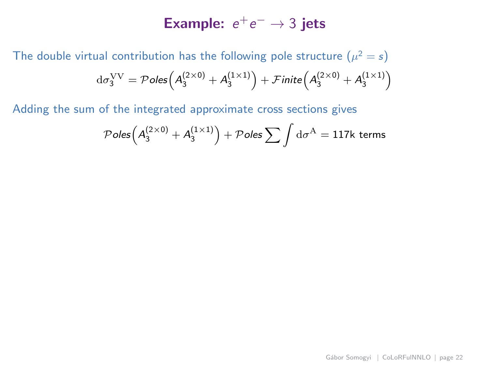## Example:  $e^+e^- \rightarrow 3$  jets

The double virtual contribution has the following pole structure  $(\mu^2=s)$  $\mathrm{d}\sigma_3^\mathrm{VV}=\mathcal P$ oles $\left(A_3^{(2\times0)}+A_3^{(1\times1)}\right)+\mathcal F$ inite $\left(A_3^{(2\times0)}+A_3^{(1\times1)}\right)$ 

Adding the sum of the integrated approximate cross sections gives

$$
\mathcal{P}oles\left(A_3^{(2\times0)}+A_3^{(1\times1)}\right)+\mathcal{P}oles\sum \int \mathrm{d}\sigma^{\mathrm{A}}=117k \text{ terms}
$$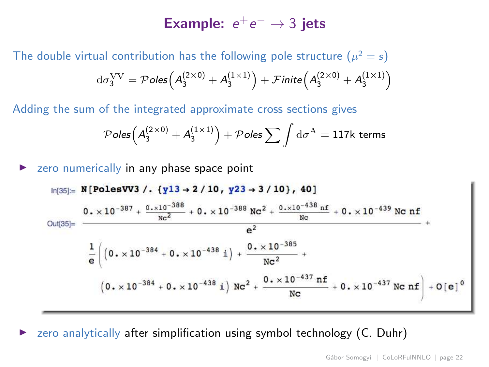## Example:  $e^+e^- \rightarrow 3$  jets

The double virtual contribution has the following pole structure  $(\mu^2=s)$  $\mathrm{d}\sigma_3^\mathrm{VV}=\mathcal P$ oles $\left(A_3^{(2\times0)}+A_3^{(1\times1)}\right)+\mathcal F$ inite $\left(A_3^{(2\times0)}+A_3^{(1\times1)}\right)$ 

Adding the sum of the integrated approximate cross sections gives

$$
\mathcal{P}oles\Big(A_3^{(2\times0)}+A_3^{(1\times1)}\Big)+\mathcal{P}oles\sum\int\mathrm{d}\sigma^{\mathrm{A}}=117\mathrm{k~terms}
$$

zero numerically in any phase space point

$$
\ln[35] = \frac{N \left[ \text{PolesVV3} \middle/ . \{ \gamma 13 \rightarrow 2 \middle/ 10 \middle, \gamma 23 \rightarrow 3 \middle/ 10 \right], 40 \right]}{0. \times 10^{-387} + \frac{0. \times 10^{-388}}{\text{N}c^2} + 0. \times 10^{-388} \text{ Nc}^2 + \frac{0. \times 10^{-438} \text{ nf}}{\text{N}c} + 0. \times 10^{-439} \text{ Nc nf}} + \frac{e^2}{\text{N}c^2} + \frac{1}{\text{N}c^2} \left( 0. \times 10^{-384} + 0. \times 10^{-438} \text{ i} \right) + \frac{0. \times 10^{-385}}{\text{N}c^2} + \frac{0. \times 10^{-437} \text{ nf}}{\text{N}c} + 0. \times 10^{-437} \text{ Nc nf} \right) + O[e]^0
$$

zero analytically after simplification using symbol technology (C. Duhr)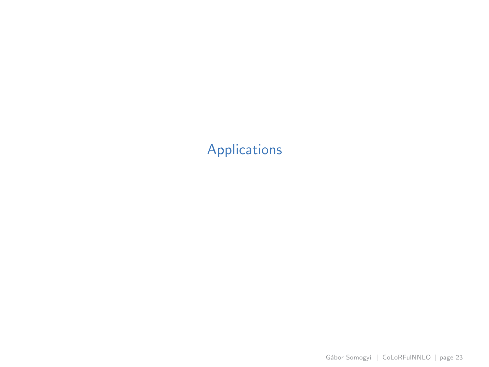## <span id="page-32-0"></span>[Applications](#page-32-0)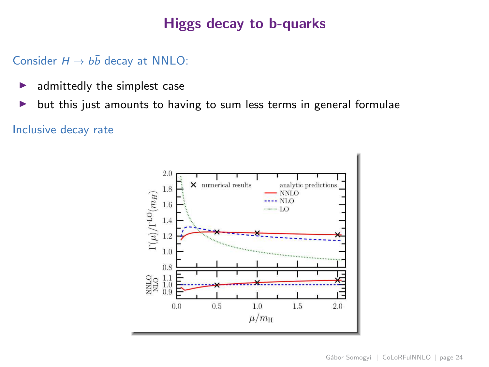## Higgs decay to b-quarks

### Consider  $H \rightarrow b\bar{b}$  decay at NNLO:

- $\blacktriangleright$  admittedly the simplest case
- ▶ but this just amounts to having to sum less terms in general formulae

### Inclusive decay rate

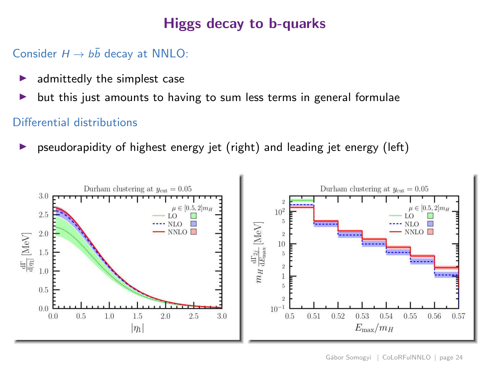## Higgs decay to b-quarks

## Consider  $H \rightarrow b\bar{b}$  decay at NNLO:

- admittedly the simplest case
- ▶ but this just amounts to having to sum less terms in general formulae

### Differential distributions

pseudorapidity of highest energy jet (right) and leading jet energy (left)

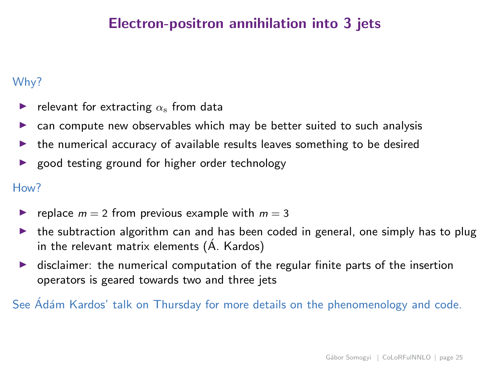## Electron-positron annihilation into 3 jets

### Why?

- relevant for extracting  $\alpha_{\rm s}$  from data
- ◮ can compute new observables which may be better suited to such analysis
- the numerical accuracy of available results leaves something to be desired
- ◮ good testing ground for higher order technology

#### How?

- replace  $m = 2$  from previous example with  $m = 3$
- the subtraction algorithm can and has been coded in general, one simply has to plug in the relevant matrix elements  $(A.$  Kardos)
- $\triangleright$  disclaimer: the numerical computation of the regular finite parts of the insertion operators is geared towards two and three jets

See Adám Kardos' talk on Thursday for more details on the phenomenology and code.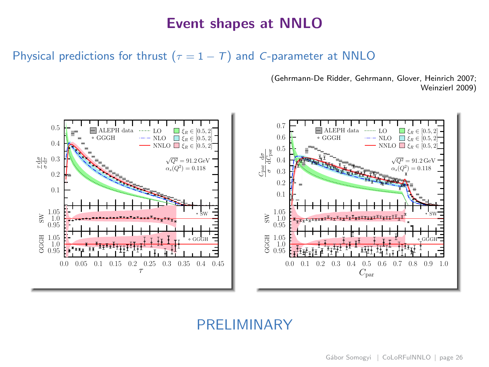### Event shapes at NNLO

Physical predictions for thrust ( $\tau = 1 - T$ ) and C-parameter at NNLO

(Gehrmann-De Ridder, Gehrmann, Glover, Heinrich 2007; Weinzierl 2009)



## PRELIMINARY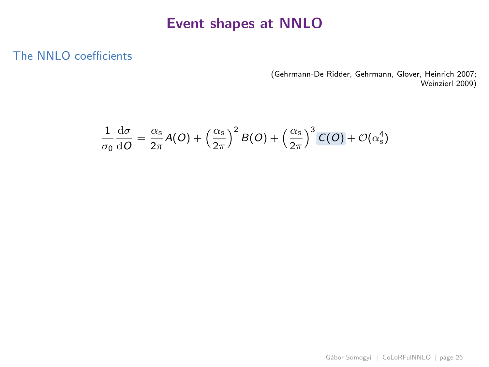## Event shapes at NNLO

### The NNLO coefficients

(Gehrmann-De Ridder, Gehrmann, Glover, Heinrich 2007; Weinzierl 2009)

$$
\frac{1}{\sigma_0}\frac{\mathrm{d}\sigma}{\mathrm{d}O} = \frac{\alpha_s}{2\pi}A(O) + \left(\frac{\alpha_s}{2\pi}\right)^2B(O) + \left(\frac{\alpha_s}{2\pi}\right)^3C(O) + \mathcal{O}(\alpha_s^4)
$$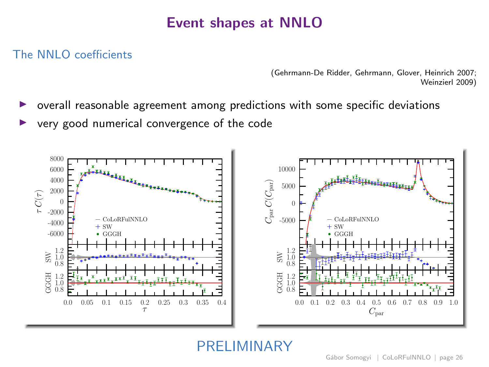## Event shapes at NNLO

### The NNLO coefficients

(Gehrmann-De Ridder, Gehrmann, Glover, Heinrich 2007; Weinzierl 2009)

- ◮ overall reasonable agreement among predictions with some specific deviations
- ◮ very good numerical convergence of the code



PRELIMINARY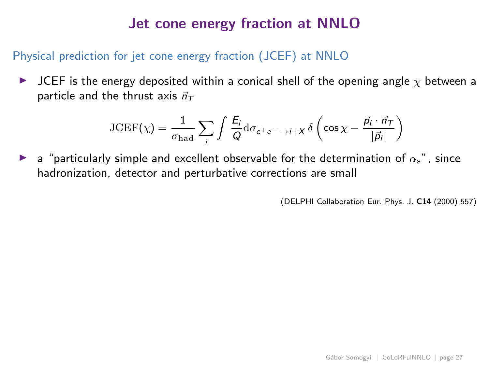## Jet cone energy fraction at NNLO

### Physical prediction for jet cone energy fraction (JCEF) at NNLO

 $\triangleright$  JCEF is the energy deposited within a conical shell of the opening angle  $\chi$  between a particle and the thrust axis  $\vec{n}_{T}$ 

$$
\text{JCEF}(\chi) = \frac{1}{\sigma_{\text{had}}}\sum_{i} \int \frac{E_{i}}{Q} d\sigma_{e^{+}e^{-} \to i+X} \delta\left(\cos\chi - \frac{\vec{p}_{i} \cdot \vec{n}_{\text{T}}}{|\vec{p}_{i}|}\right)
$$

a "particularly simple and excellent observable for the determination of  $\alpha_s$ ", since hadronization, detector and perturbative corrections are small

(DELPHI Collaboration Eur. Phys. J. C14 (2000) 557)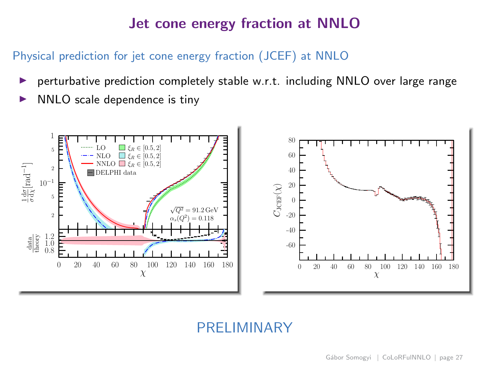## Jet cone energy fraction at NNLO

### Physical prediction for jet cone energy fraction (JCEF) at NNLO

- perturbative prediction completely stable w.r.t. including NNLO over large range
- ◮ NNLO scale dependence is tiny



## PRELIMINARY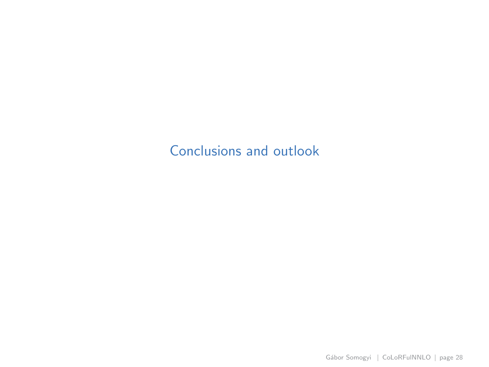## <span id="page-41-0"></span>[Conclusions and outlook](#page-41-0)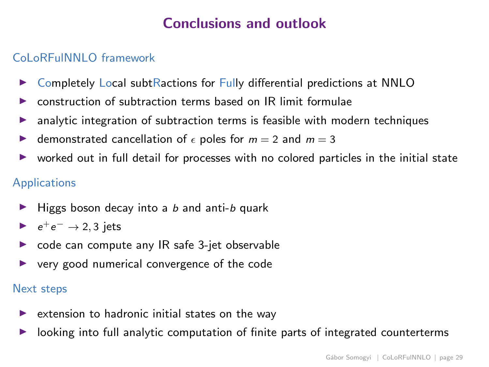## Conclusions and outlook

### CoLoRFulNNLO framework

- ▶ Completely Local subtRactions for Fully differential predictions at NNLO
- $\triangleright$  construction of subtraction terms based on IR limit formulae
- $\triangleright$  analytic integration of subtraction terms is feasible with modern techniques
- demonstrated cancellation of  $\epsilon$  poles for  $m = 2$  and  $m = 3$
- $\triangleright$  worked out in full detail for processes with no colored particles in the initial state

### Applications

- $\blacktriangleright$  Higgs boson decay into a b and anti-b quark
- $\rightarrow e^+e^- \rightarrow 2, 3$  jets
- $\triangleright$  code can compute any IR safe 3-jet observable
- $\triangleright$  very good numerical convergence of the code

#### Next steps

- $\triangleright$  extension to hadronic initial states on the way
- looking into full analytic computation of finite parts of integrated counterterms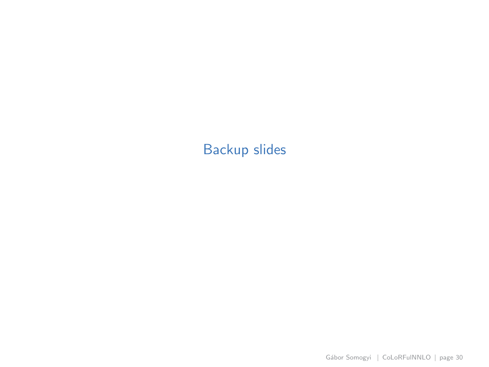## <span id="page-43-0"></span>[Backup slides](#page-43-0)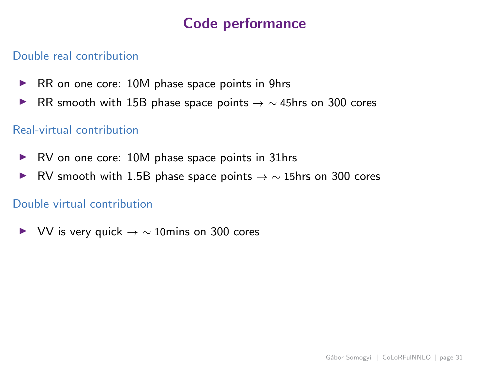## Code performance

### Double real contribution

- ▶ RR on one core: 10M phase space points in 9hrs
- ► RR smooth with 15B phase space points  $\rightarrow \sim 45$ hrs on 300 cores

### Real-virtual contribution

- ▶ RV on one core: 10M phase space points in 31hrs
- ► RV smooth with 1.5B phase space points  $\rightarrow \sim 15$ hrs on 300 cores

#### Double virtual contribution

 $V$  VV is very quick  $\rightarrow \sim 10$  mins on 300 cores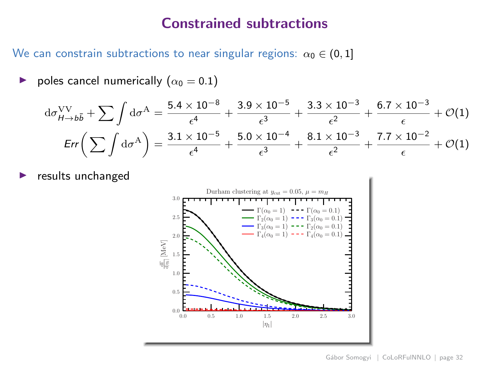### Constrained subtractions

We can constrain subtractions to near singular regions:  $\alpha_0 \in (0,1]$ 

poles cancel numerically  $(\alpha_0 = 0.1)$ 

$$
d\sigma_{H\to b\bar{b}}^{\text{VV}} + \sum \int d\sigma^{\text{A}} = \frac{5.4 \times 10^{-8}}{\epsilon^4} + \frac{3.9 \times 10^{-5}}{\epsilon^3} + \frac{3.3 \times 10^{-3}}{\epsilon^2} + \frac{6.7 \times 10^{-3}}{\epsilon} + \mathcal{O}(1)
$$
  
Err $\left(\sum \int d\sigma^{\text{A}}\right) = \frac{3.1 \times 10^{-5}}{\epsilon^4} + \frac{5.0 \times 10^{-4}}{\epsilon^3} + \frac{8.1 \times 10^{-3}}{\epsilon^2} + \frac{7.7 \times 10^{-2}}{\epsilon} + \mathcal{O}(1)$ 

results unchanged

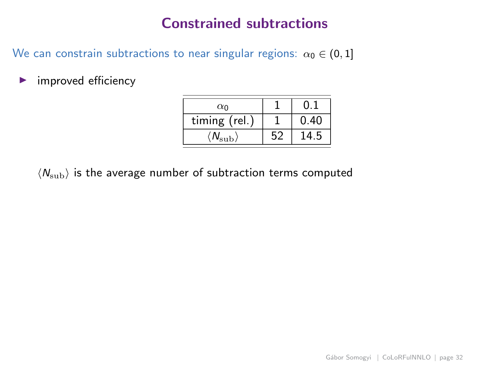## Constrained subtractions

We can constrain subtractions to near singular regions:  $\alpha_0 \in (0,1]$ 

 $\blacktriangleright$  improved efficiency

| $\alpha_0$                    |    | 0.   |
|-------------------------------|----|------|
| timing (rel.)                 |    | 0.40 |
| $\langle N_{\rm sub} \rangle$ | 52 | 14.5 |

 $\langle N_{\rm sub} \rangle$  is the average number of subtraction terms computed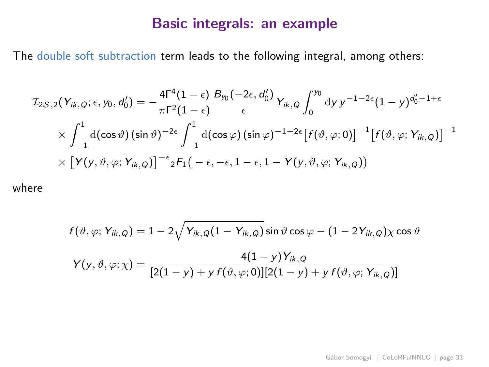### Basic integrals: an example

The double soft subtraction term leads to the following integral, among others:

$$
\mathcal{I}_{2S,2}(Y_{ik,Q};\epsilon,y_0,d'_0) = -\frac{4\Gamma^4(1-\epsilon)}{\pi \Gamma^2(1-\epsilon)} \frac{B_{y_0}(-2\epsilon,d'_0)}{\epsilon} Y_{ik,Q} \int_0^{y_0} dy \, y^{-1-2\epsilon} (1-y)^{d'_0-1+\epsilon}
$$
  
 
$$
\times \int_{-1}^1 d(\cos\vartheta) (\sin\vartheta)^{-2\epsilon} \int_{-1}^1 d(\cos\varphi) (\sin\varphi)^{-1-2\epsilon} [f(\vartheta,\varphi;0)]^{-1} [f(\vartheta,\varphi;Y_{ik,Q})]^{-1}
$$
  
 
$$
\times [Y(y,\vartheta,\varphi;Y_{ik,Q})]^{-\epsilon} {}_2F_1(-\epsilon,-\epsilon,1-\epsilon,1-Y(y,\vartheta,\varphi;Y_{ik,Q}))
$$

where

$$
f(\vartheta,\varphi;Y_{ik,Q}) = 1 - 2\sqrt{Y_{ik,Q}(1 - Y_{ik,Q})}\sin\vartheta\cos\varphi - (1 - 2Y_{ik,Q})\chi\cos\vartheta
$$

$$
Y(y,\vartheta,\varphi;\chi) = \frac{4(1 - y)Y_{ik,Q}}{[2(1 - y) + y f(\vartheta,\varphi;0)][2(1 - y) + y f(\vartheta,\varphi;Y_{ik,Q})]}
$$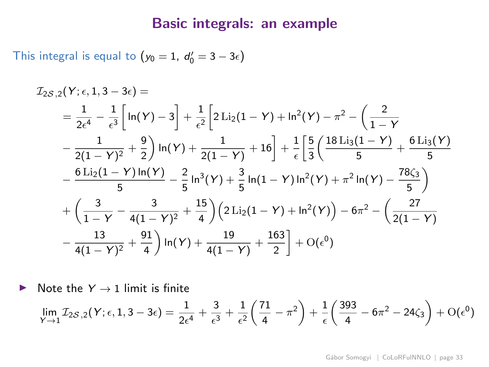### Basic integrals: an example

This integral is equal to  $(y_0 = 1, d'_0 = 3 - 3\epsilon)$ 

$$
\begin{split} \mathcal{I}_{2S,2}(Y;\epsilon,1,3-3\epsilon)&=\\ &=\frac{1}{2\epsilon^4}-\frac{1}{\epsilon^3}\bigg[\ln(Y)-3\bigg]+\frac{1}{\epsilon^2}\bigg[2\,\mathrm{Li}_2(1-Y)+\ln^2(Y)-\pi^2-\bigg(\frac{2}{1-Y}\\ &-\frac{1}{2(1-Y)^2}+\frac{9}{2}\bigg)\ln(Y)+\frac{1}{2(1-Y)}+16\bigg]+\frac{1}{\epsilon}\bigg[\frac{5}{3}\bigg(\frac{18\,\mathrm{Li}_3(1-Y)}{5}+\frac{6\,\mathrm{Li}_3(Y)}{5}\\ &-\frac{6\,\mathrm{Li}_2(1-Y)\ln(Y)}{5}-\frac{2}{5}\ln^3(Y)+\frac{3}{5}\ln(1-Y)\ln^2(Y)+\pi^2\ln(Y)-\frac{78\zeta_3}{5}\bigg)\\ &+\bigg(\frac{3}{1-Y}-\frac{3}{4(1-Y)^2}+\frac{15}{4}\bigg)\bigg(2\,\mathrm{Li}_2(1-Y)+\ln^2(Y)\bigg)-6\pi^2-\bigg(\frac{27}{2(1-Y)}\\ &-\frac{13}{4(1-Y)^2}+\frac{91}{4}\bigg)\ln(Y)+\frac{19}{4(1-Y)}+\frac{163}{2}\bigg]+O(\epsilon^0) \end{split}
$$

 $\triangleright$  Note the  $Y \rightarrow 1$  limit is finite

$$
\lim_{Y \to 1} \mathcal{I}_{2S,2}(Y; \epsilon, 1, 3 - 3\epsilon) = \frac{1}{2\epsilon^4} + \frac{3}{\epsilon^3} + \frac{1}{\epsilon^2} \left(\frac{71}{4} - \pi^2\right) + \frac{1}{\epsilon} \left(\frac{393}{4} - 6\pi^2 - 24\zeta_3\right) + O(\epsilon^0)
$$